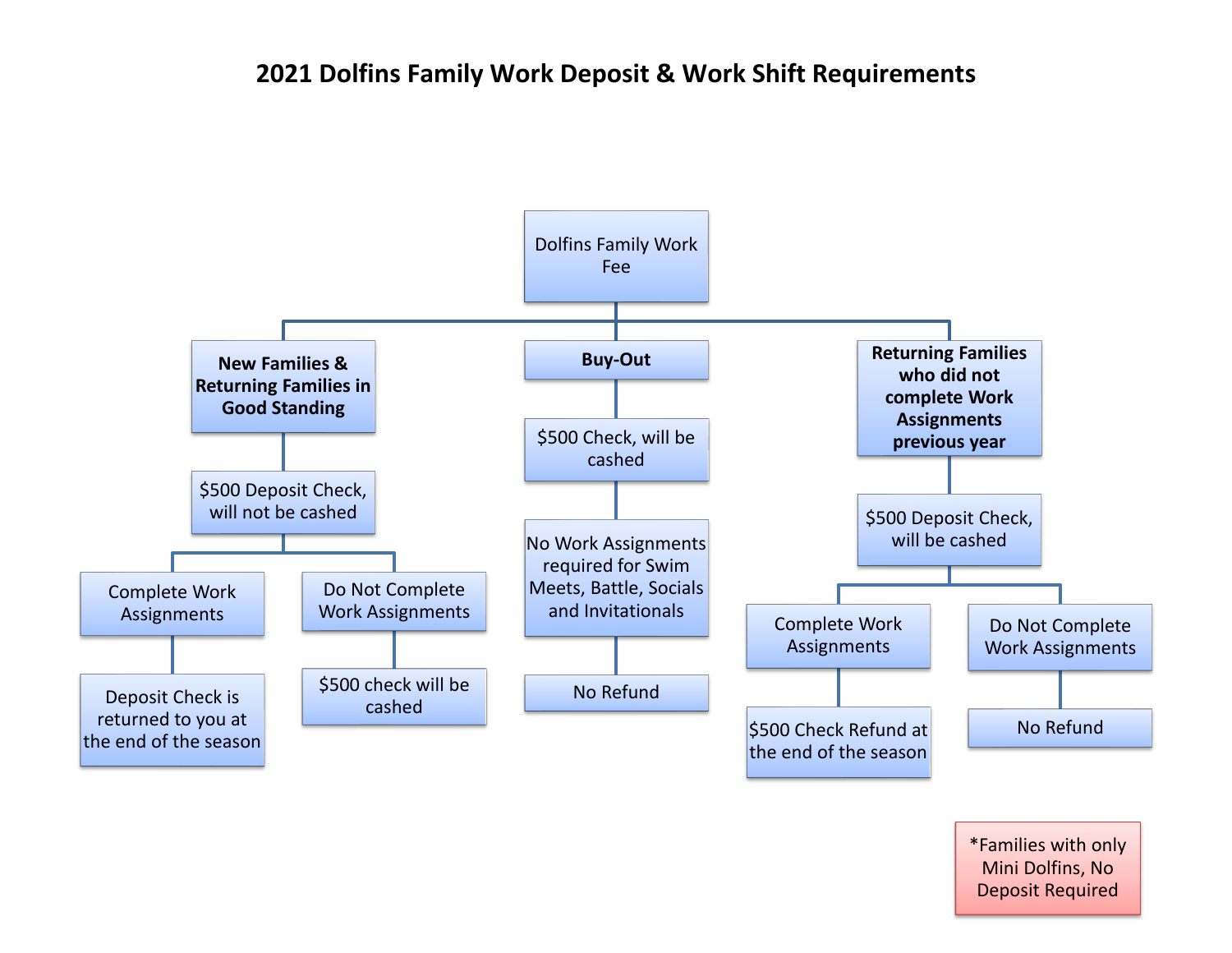# **2021 Dolfins Family Work Deposit & Work Shift Requirements**



Deposit Required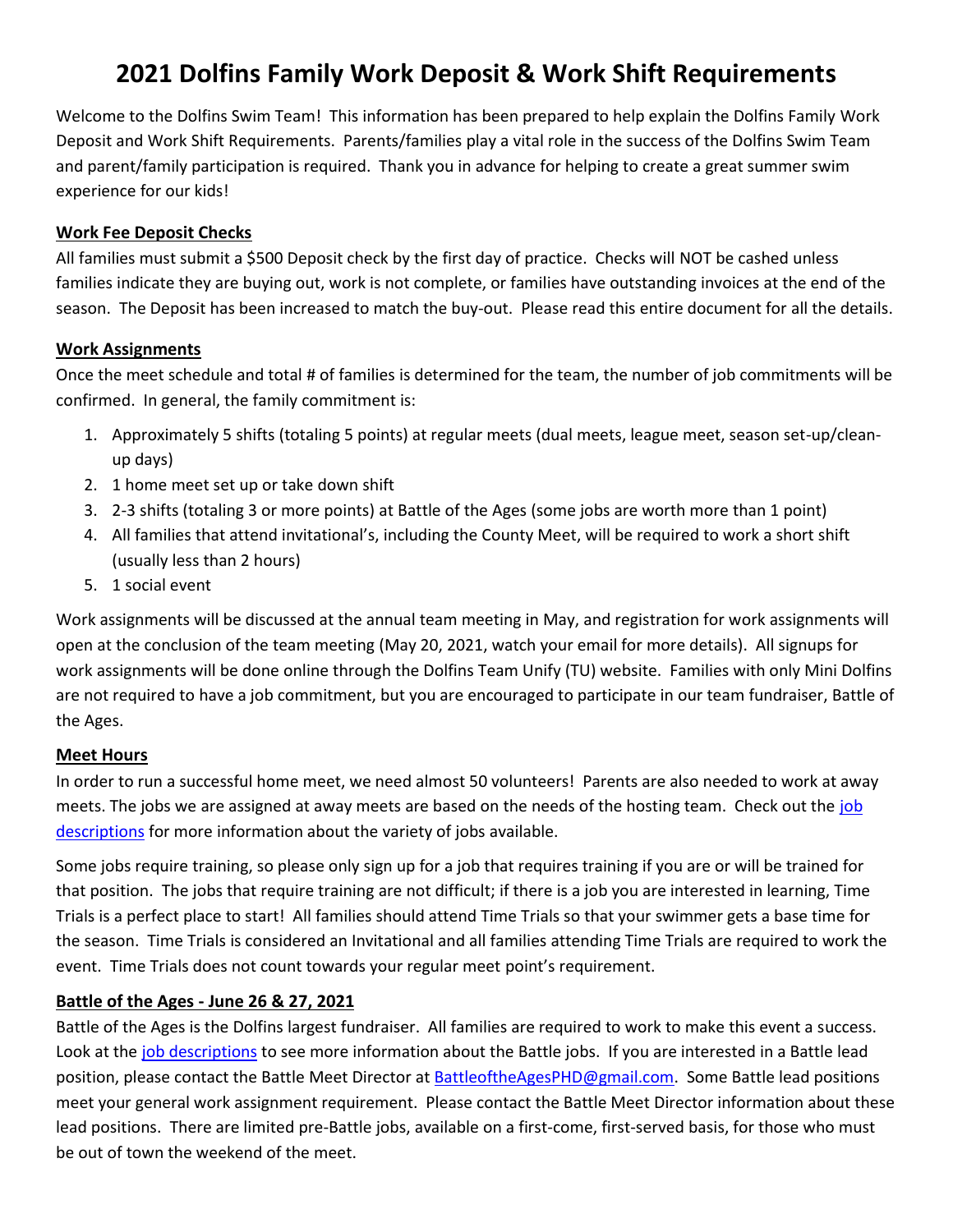# **2021 Dolfins Family Work Deposit & Work Shift Requirements**

Welcome to the Dolfins Swim Team! This information has been prepared to help explain the Dolfins Family Work Deposit and Work Shift Requirements. Parents/families play a vital role in the success of the Dolfins Swim Team and parent/family participation is required. Thank you in advance for helping to create a great summer swim experience for our kids!

#### **Work Fee Deposit Checks**

All families must submit a \$500 Deposit check by the first day of practice. Checks will NOT be cashed unless families indicate they are buying out, work is not complete, or families have outstanding invoices at the end of the season. The Deposit has been increased to match the buy-out. Please read this entire document for all the details.

#### **Work Assignments**

Once the meet schedule and total # of families is determined for the team, the number of job commitments will be confirmed. In general, the family commitment is:

- 1. Approximately 5 shifts (totaling 5 points) at regular meets (dual meets, league meet, season set-up/cleanup days)
- 2. 1 home meet set up or take down shift
- 3. 2-3 shifts (totaling 3 or more points) at Battle of the Ages (some jobs are worth more than 1 point)
- 4. All families that attend invitational's, including the County Meet, will be required to work a short shift (usually less than 2 hours)
- 5. 1 social event

Work assignments will be discussed at the annual team meeting in May, and registration for work assignments will open at the conclusion of the team meeting (May 20, 2021, watch your email for more details). All signups for work assignments will be done online through the Dolfins Team Unify (TU) website. Families with only Mini Dolfins are not required to have a job commitment, but you are encouraged to participate in our team fundraiser, Battle of the Ages.

# **Meet Hours**

In order to run a successful home meet, we need almost 50 volunteers! Parents are also needed to work at away meets. The jobs we are assigned at away meets are based on the needs of the hosting team. Check out the [job](http://www.teamunify.com/SubTabGeneric.jsp?team=reccvphdca&_stabid_=95089)  [descriptions](http://www.teamunify.com/SubTabGeneric.jsp?team=reccvphdca&_stabid_=95089) for more information about the variety of jobs available.

Some jobs require training, so please only sign up for a job that requires training if you are or will be trained for that position. The jobs that require training are not difficult; if there is a job you are interested in learning, Time Trials is a perfect place to start! All families should attend Time Trials so that your swimmer gets a base time for the season. Time Trials is considered an Invitational and all families attending Time Trials are required to work the event. Time Trials does not count towards your regular meet point's requirement.

# **Battle of the Ages - June 26 & 27, 2021**

Battle of the Ages is the Dolfins largest fundraiser. All families are required to work to make this event a success. Look at the [job descriptions](http://www.teamunify.com/SubTabGeneric.jsp?team=reccvphdca&_stabid_=95089) to see more information about the Battle jobs. If you are interested in a Battle lead position, please contact the Battle Meet Director at [BattleoftheAgesPHD@gmail.com.](mailto:BattleoftheAgesPHD@gmail.com) Some Battle lead positions meet your general work assignment requirement. Please contact the Battle Meet Director information about these lead positions. There are limited pre-Battle jobs, available on a first-come, first-served basis, for those who must be out of town the weekend of the meet.